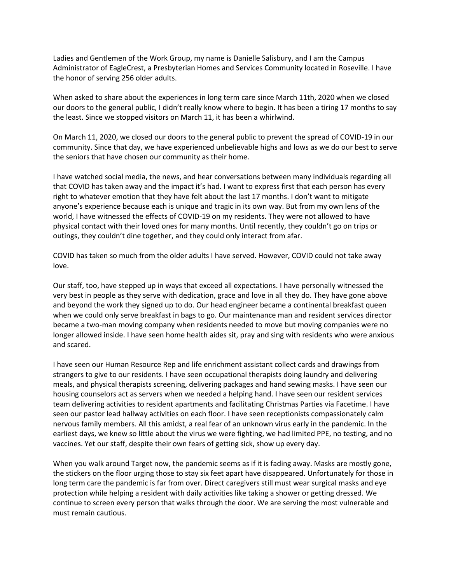Ladies and Gentlemen of the Work Group, my name is Danielle Salisbury, and I am the Campus Administrator of EagleCrest, a Presbyterian Homes and Services Community located in Roseville. I have the honor of serving 256 older adults.

When asked to share about the experiences in long term care since March 11th, 2020 when we closed our doors to the general public, I didn't really know where to begin. It has been a tiring 17 months to say the least. Since we stopped visitors on March 11, it has been a whirlwind.

On March 11, 2020, we closed our doors to the general public to prevent the spread of COVID-19 in our community. Since that day, we have experienced unbelievable highs and lows as we do our best to serve the seniors that have chosen our community as their home.

I have watched social media, the news, and hear conversations between many individuals regarding all that COVID has taken away and the impact it's had. I want to express first that each person has every right to whatever emotion that they have felt about the last 17 months. I don't want to mitigate anyone's experience because each is unique and tragic in its own way. But from my own lens of the world, I have witnessed the effects of COVID-19 on my residents. They were not allowed to have physical contact with their loved ones for many months. Until recently, they couldn't go on trips or outings, they couldn't dine together, and they could only interact from afar.

COVID has taken so much from the older adults I have served. However, COVID could not take away love.

Our staff, too, have stepped up in ways that exceed all expectations. I have personally witnessed the very best in people as they serve with dedication, grace and love in all they do. They have gone above and beyond the work they signed up to do. Our head engineer became a continental breakfast queen when we could only serve breakfast in bags to go. Our maintenance man and resident services director became a two-man moving company when residents needed to move but moving companies were no longer allowed inside. I have seen home health aides sit, pray and sing with residents who were anxious and scared.

I have seen our Human Resource Rep and life enrichment assistant collect cards and drawings from strangers to give to our residents. I have seen occupational therapists doing laundry and delivering meals, and physical therapists screening, delivering packages and hand sewing masks. I have seen our housing counselors act as servers when we needed a helping hand. I have seen our resident services team delivering activities to resident apartments and facilitating Christmas Parties via Facetime. I have seen our pastor lead hallway activities on each floor. I have seen receptionists compassionately calm nervous family members. All this amidst, a real fear of an unknown virus early in the pandemic. In the earliest days, we knew so little about the virus we were fighting, we had limited PPE, no testing, and no vaccines. Yet our staff, despite their own fears of getting sick, show up every day.

When you walk around Target now, the pandemic seems as if it is fading away. Masks are mostly gone, the stickers on the floor urging those to stay six feet apart have disappeared. Unfortunately for those in long term care the pandemic is far from over. Direct caregivers still must wear surgical masks and eye protection while helping a resident with daily activities like taking a shower or getting dressed. We continue to screen every person that walks through the door. We are serving the most vulnerable and must remain cautious.